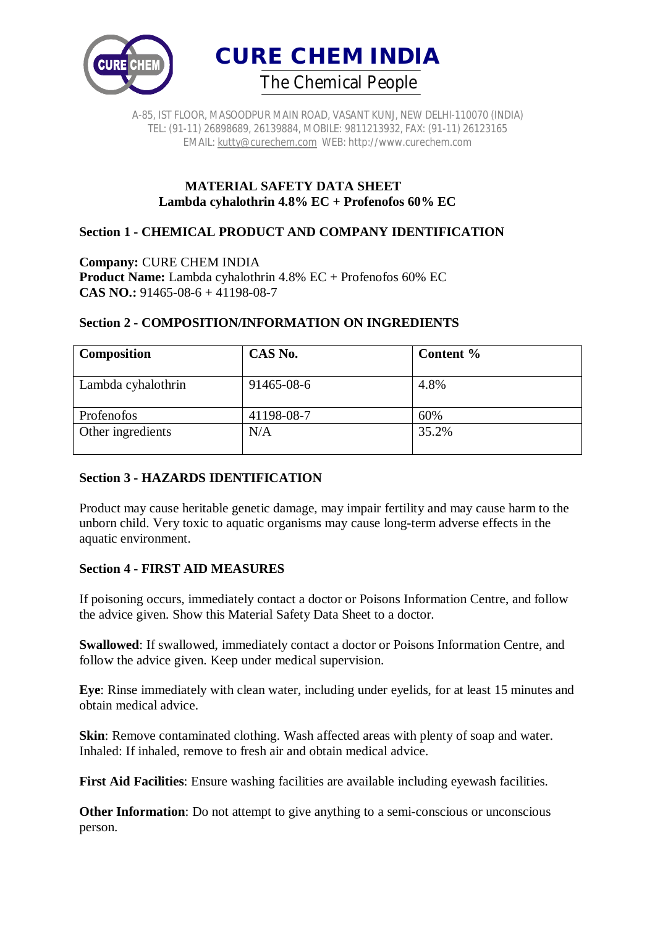



#### **MATERIAL SAFETY DATA SHEET Lambda cyhalothrin 4.8% EC + Profenofos 60% EC**

# **Section 1 - CHEMICAL PRODUCT AND COMPANY IDENTIFICATION**

**Company:** CURE CHEM INDIA **Product Name:** Lambda cyhalothrin 4.8% EC + Profenofos 60% EC **CAS NO.:** 91465-08-6 + 41198-08-7

## **Section 2 - COMPOSITION/INFORMATION ON INGREDIENTS**

| <b>Composition</b> | CAS No.    | Content % |
|--------------------|------------|-----------|
| Lambda cyhalothrin | 91465-08-6 | 4.8%      |
| Profenofos         | 41198-08-7 | 60%       |
| Other ingredients  | N/A        | 35.2%     |

#### **Section 3 - HAZARDS IDENTIFICATION**

Product may cause heritable genetic damage, may impair fertility and may cause harm to the unborn child. Very toxic to aquatic organisms may cause long-term adverse effects in the aquatic environment.

#### **Section 4 - FIRST AID MEASURES**

If poisoning occurs, immediately contact a doctor or Poisons Information Centre, and follow the advice given. Show this Material Safety Data Sheet to a doctor.

**Swallowed**: If swallowed, immediately contact a doctor or Poisons Information Centre, and follow the advice given. Keep under medical supervision.

**Eye**: Rinse immediately with clean water, including under eyelids, for at least 15 minutes and obtain medical advice.

**Skin**: Remove contaminated clothing. Wash affected areas with plenty of soap and water. Inhaled: If inhaled, remove to fresh air and obtain medical advice.

**First Aid Facilities**: Ensure washing facilities are available including eyewash facilities.

**Other Information**: Do not attempt to give anything to a semi-conscious or unconscious person.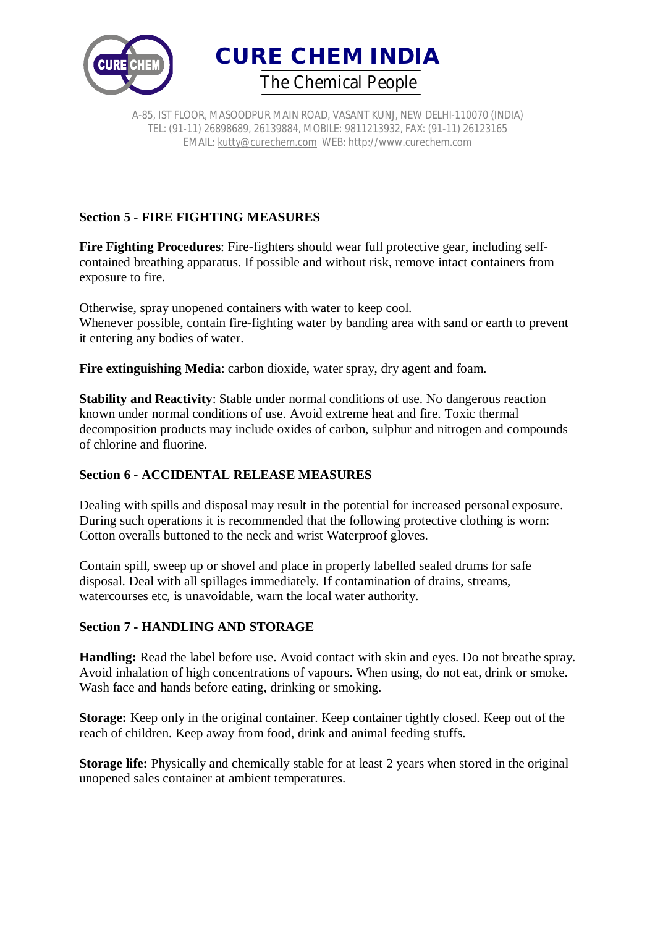



# **Section 5 - FIRE FIGHTING MEASURES**

**Fire Fighting Procedures**: Fire-fighters should wear full protective gear, including selfcontained breathing apparatus. If possible and without risk, remove intact containers from exposure to fire.

Otherwise, spray unopened containers with water to keep cool. Whenever possible, contain fire-fighting water by banding area with sand or earth to prevent it entering any bodies of water.

**Fire extinguishing Media**: carbon dioxide, water spray, dry agent and foam.

**Stability and Reactivity**: Stable under normal conditions of use. No dangerous reaction known under normal conditions of use. Avoid extreme heat and fire. Toxic thermal decomposition products may include oxides of carbon, sulphur and nitrogen and compounds of chlorine and fluorine.

## **Section 6 - ACCIDENTAL RELEASE MEASURES**

Dealing with spills and disposal may result in the potential for increased personal exposure. During such operations it is recommended that the following protective clothing is worn: Cotton overalls buttoned to the neck and wrist Waterproof gloves.

Contain spill, sweep up or shovel and place in properly labelled sealed drums for safe disposal. Deal with all spillages immediately. If contamination of drains, streams, watercourses etc, is unavoidable, warn the local water authority.

#### **Section 7 - HANDLING AND STORAGE**

**Handling:** Read the label before use. Avoid contact with skin and eyes. Do not breathe spray. Avoid inhalation of high concentrations of vapours. When using, do not eat, drink or smoke. Wash face and hands before eating, drinking or smoking.

**Storage:** Keep only in the original container. Keep container tightly closed. Keep out of the reach of children. Keep away from food, drink and animal feeding stuffs.

**Storage life:** Physically and chemically stable for at least 2 years when stored in the original unopened sales container at ambient temperatures.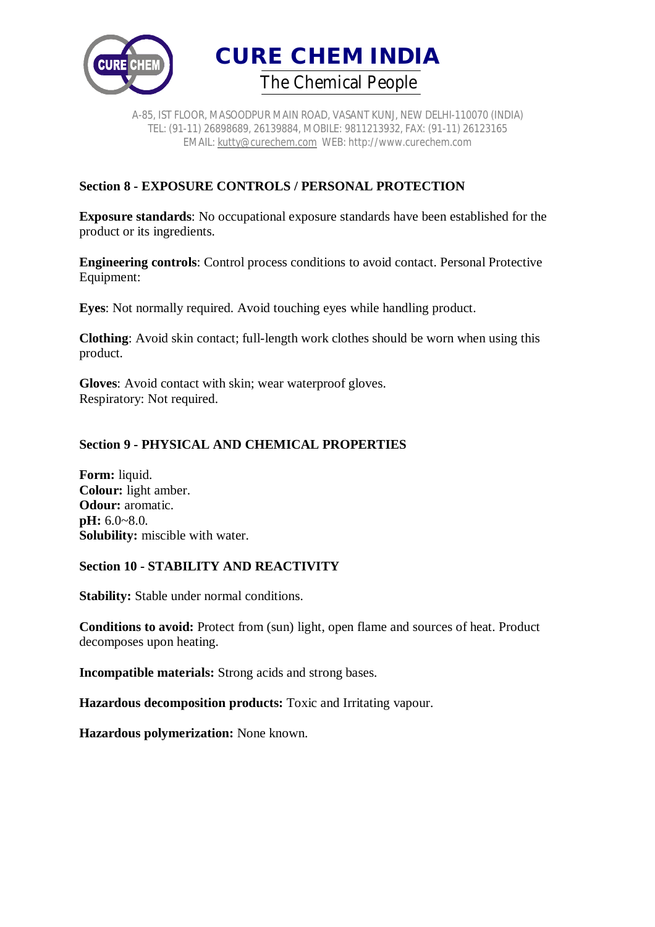



# **Section 8 - EXPOSURE CONTROLS / PERSONAL PROTECTION**

**Exposure standards**: No occupational exposure standards have been established for the product or its ingredients.

**Engineering controls**: Control process conditions to avoid contact. Personal Protective Equipment:

**Eyes**: Not normally required. Avoid touching eyes while handling product.

**Clothing**: Avoid skin contact; full-length work clothes should be worn when using this product.

**Gloves**: Avoid contact with skin; wear waterproof gloves. Respiratory: Not required.

# **Section 9 - PHYSICAL AND CHEMICAL PROPERTIES**

**Form:** liquid. **Colour:** light amber. **Odour:** aromatic. **pH:** 6.0~8.0. **Solubility:** miscible with water.

## **Section 10 - STABILITY AND REACTIVITY**

**Stability:** Stable under normal conditions.

**Conditions to avoid:** Protect from (sun) light, open flame and sources of heat. Product decomposes upon heating.

**Incompatible materials:** Strong acids and strong bases.

**Hazardous decomposition products:** Toxic and Irritating vapour.

**Hazardous polymerization:** None known.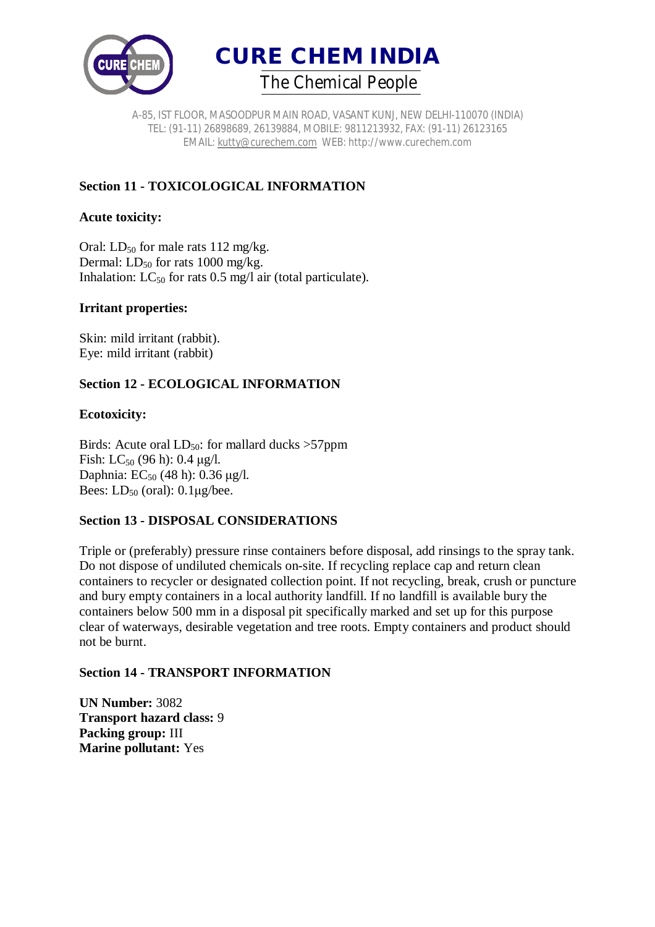



# **Section 11 - TOXICOLOGICAL INFORMATION**

#### **Acute toxicity:**

Oral:  $LD_{50}$  for male rats 112 mg/kg. Dermal:  $LD_{50}$  for rats 1000 mg/kg. Inhalation:  $LC_{50}$  for rats 0.5 mg/l air (total particulate).

#### **Irritant properties:**

Skin: mild irritant (rabbit). Eye: mild irritant (rabbit)

## **Section 12 - ECOLOGICAL INFORMATION**

#### **Ecotoxicity:**

Birds: Acute oral  $LD_{50}$ : for mallard ducks >57ppm Fish:  $LC_{50}$  (96 h): 0.4 μg/l. Daphnia:  $EC_{50}$  (48 h): 0.36 μg/l. Bees:  $LD_{50}$  (oral):  $0.1 \mu$ g/bee.

## **Section 13 - DISPOSAL CONSIDERATIONS**

Triple or (preferably) pressure rinse containers before disposal, add rinsings to the spray tank. Do not dispose of undiluted chemicals on-site. If recycling replace cap and return clean containers to recycler or designated collection point. If not recycling, break, crush or puncture and bury empty containers in a local authority landfill. If no landfill is available bury the containers below 500 mm in a disposal pit specifically marked and set up for this purpose clear of waterways, desirable vegetation and tree roots. Empty containers and product should not be burnt.

## **Section 14 - TRANSPORT INFORMATION**

**UN Number:** 3082 **Transport hazard class:** 9 **Packing group:** III **Marine pollutant:** Yes